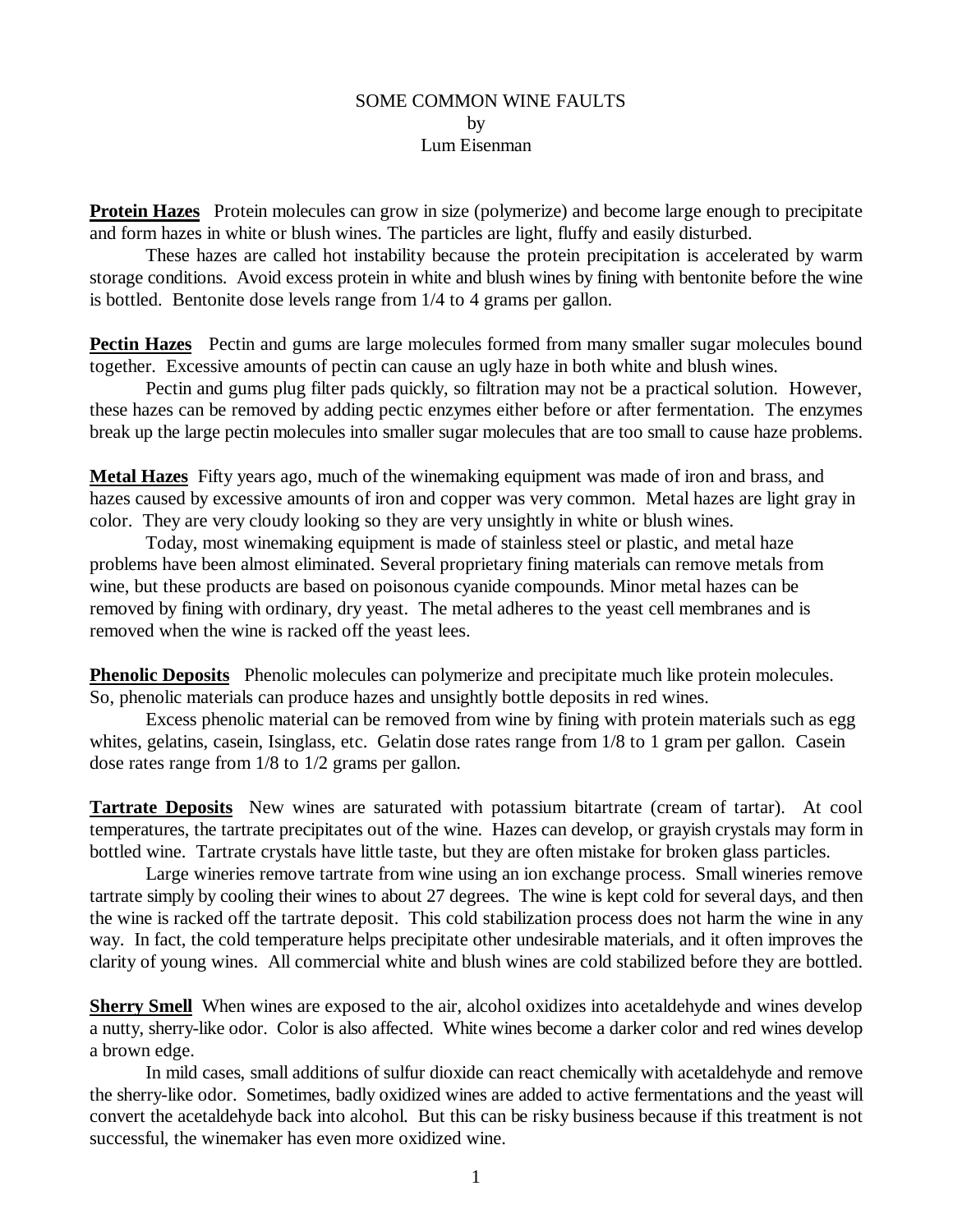## SOME COMMON WINE FAULTS by Lum Eisenman

**Protein Hazes** Protein molecules can grow in size (polymerize) and become large enough to precipitate and form hazes in white or blush wines. The particles are light, fluffy and easily disturbed.

These hazes are called hot instability because the protein precipitation is accelerated by warm storage conditions. Avoid excess protein in white and blush wines by fining with bentonite before the wine is bottled. Bentonite dose levels range from 1/4 to 4 grams per gallon.

**Pectin Hazes** Pectin and gums are large molecules formed from many smaller sugar molecules bound together. Excessive amounts of pectin can cause an ugly haze in both white and blush wines.

Pectin and gums plug filter pads quickly, so filtration may not be a practical solution. However, these hazes can be removed by adding pectic enzymes either before or after fermentation. The enzymes break up the large pectin molecules into smaller sugar molecules that are too small to cause haze problems.

**Metal Hazes** Fifty years ago, much of the winemaking equipment was made of iron and brass, and hazes caused by excessive amounts of iron and copper was very common. Metal hazes are light gray in color. They are very cloudy looking so they are very unsightly in white or blush wines.

Today, most winemaking equipment is made of stainless steel or plastic, and metal haze problems have been almost eliminated. Several proprietary fining materials can remove metals from wine, but these products are based on poisonous cyanide compounds. Minor metal hazes can be removed by fining with ordinary, dry yeast. The metal adheres to the yeast cell membranes and is removed when the wine is racked off the yeast lees.

**Phenolic Deposits** Phenolic molecules can polymerize and precipitate much like protein molecules. So, phenolic materials can produce hazes and unsightly bottle deposits in red wines.

Excess phenolic material can be removed from wine by fining with protein materials such as egg whites, gelatins, casein, Isinglass, etc. Gelatin dose rates range from 1/8 to 1 gram per gallon. Casein dose rates range from 1/8 to 1/2 grams per gallon.

**Tartrate Deposits** New wines are saturated with potassium bitartrate (cream of tartar). At cool temperatures, the tartrate precipitates out of the wine. Hazes can develop, or grayish crystals may form in bottled wine. Tartrate crystals have little taste, but they are often mistake for broken glass particles.

Large wineries remove tartrate from wine using an ion exchange process. Small wineries remove tartrate simply by cooling their wines to about 27 degrees. The wine is kept cold for several days, and then the wine is racked off the tartrate deposit. This cold stabilization process does not harm the wine in any way. In fact, the cold temperature helps precipitate other undesirable materials, and it often improves the clarity of young wines. All commercial white and blush wines are cold stabilized before they are bottled.

**Sherry Smell** When wines are exposed to the air, alcohol oxidizes into acetaldehyde and wines develop a nutty, sherry-like odor. Color is also affected. White wines become a darker color and red wines develop a brown edge.

In mild cases, small additions of sulfur dioxide can react chemically with acetaldehyde and remove the sherry-like odor. Sometimes, badly oxidized wines are added to active fermentations and the yeast will convert the acetaldehyde back into alcohol. But this can be risky business because if this treatment is not successful, the winemaker has even more oxidized wine.